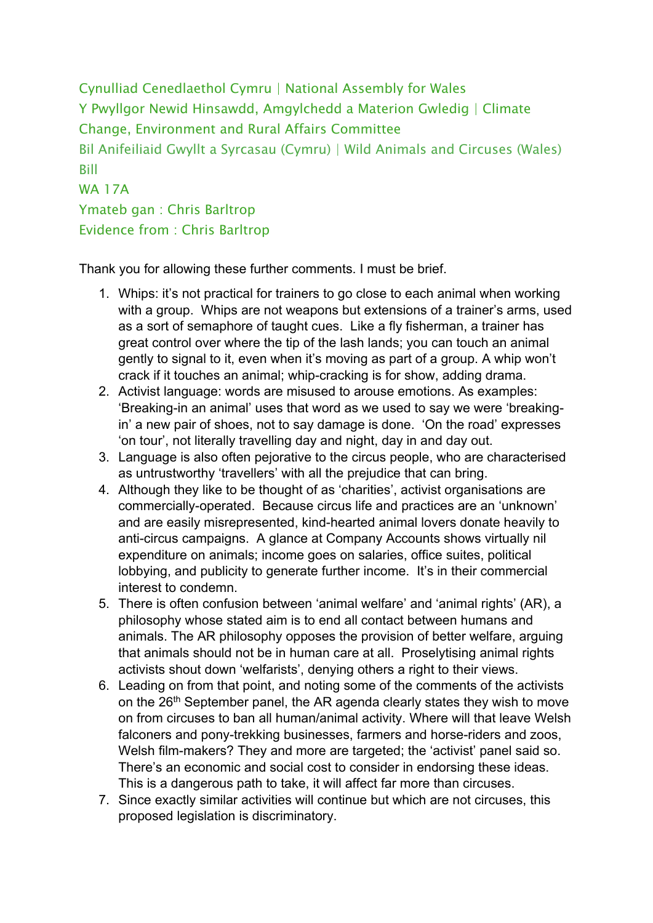Cynulliad Cenedlaethol Cymru | National Assembly for Wales Y Pwyllgor Newid Hinsawdd, Amgylchedd a Materion Gwledig | Climate Change, Environment and Rural Affairs Committee Bil Anifeiliaid Gwyllt a Syrcasau (Cymru) | Wild Animals and Circuses (Wales) Bill WA 17A Ymateb gan : Chris Barltrop Evidence from : Chris Barltrop

Thank you for allowing these further comments. I must be brief.

- 1. Whips: it's not practical for trainers to go close to each animal when working with a group. Whips are not weapons but extensions of a trainer's arms, used as a sort of semaphore of taught cues. Like a fly fisherman, a trainer has great control over where the tip of the lash lands; you can touch an animal gently to signal to it, even when it's moving as part of a group. A whip won't crack if it touches an animal; whip-cracking is for show, adding drama.
- 2. Activist language: words are misused to arouse emotions. As examples: 'Breaking-in an animal' uses that word as we used to say we were 'breakingin' a new pair of shoes, not to say damage is done. 'On the road' expresses 'on tour', not literally travelling day and night, day in and day out.
- 3. Language is also often pejorative to the circus people, who are characterised as untrustworthy 'travellers' with all the prejudice that can bring.
- 4. Although they like to be thought of as 'charities', activist organisations are commercially-operated. Because circus life and practices are an 'unknown' and are easily misrepresented, kind-hearted animal lovers donate heavily to anti-circus campaigns. A glance at Company Accounts shows virtually nil expenditure on animals; income goes on salaries, office suites, political lobbying, and publicity to generate further income. It's in their commercial interest to condemn.
- 5. There is often confusion between 'animal welfare' and 'animal rights' (AR), a philosophy whose stated aim is to end all contact between humans and animals. The AR philosophy opposes the provision of better welfare, arguing that animals should not be in human care at all. Proselytising animal rights activists shout down 'welfarists', denying others a right to their views.
- 6. Leading on from that point, and noting some of the comments of the activists on the 26<sup>th</sup> September panel, the AR agenda clearly states they wish to move on from circuses to ban all human/animal activity. Where will that leave Welsh falconers and pony-trekking businesses, farmers and horse-riders and zoos, Welsh film-makers? They and more are targeted; the 'activist' panel said so. There's an economic and social cost to consider in endorsing these ideas. This is a dangerous path to take, it will affect far more than circuses.
- 7. Since exactly similar activities will continue but which are not circuses, this proposed legislation is discriminatory.